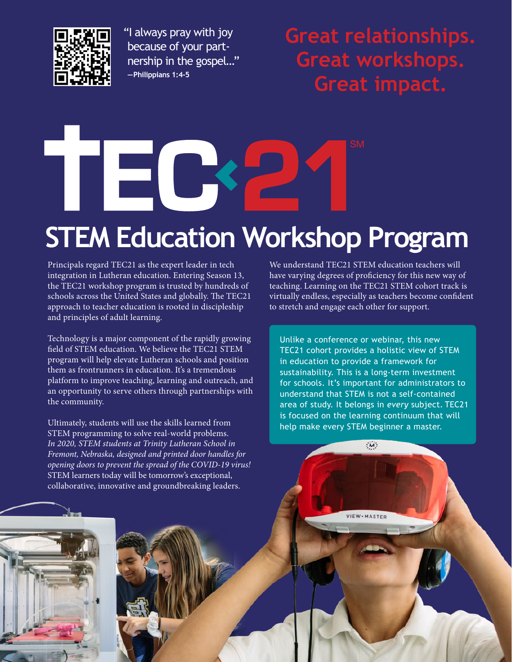

 "I always pray with joy because of your partnership in the gospel…" **—Philippians 1:4-5**

**Great relationships. Great workshops. Great impact.**

# TEC **STEM Education Workshop Program**

Principals regard TEC21 as the expert leader in tech integration in Lutheran education. Entering Season 13, the TEC21 workshop program is trusted by hundreds of schools across the United States and globally. The TEC21 approach to teacher education is rooted in discipleship and principles of adult learning.

Technology is a major component of the rapidly growing field of STEM education. We believe the TEC21 STEM program will help elevate Lutheran schools and position them as frontrunners in education. It's a tremendous platform to improve teaching, learning and outreach, and an opportunity to serve others through partnerships with the community.

Ultimately, students will use the skills learned from STEM programming to solve real-world problems. *In 2020, STEM students at Trinity Lutheran School in Fremont, Nebraska, designed and printed door handles for opening doors to prevent the spread of the COVID-19 virus!* STEM learners today will be tomorrow's exceptional, collaborative, innovative and groundbreaking leaders.

We understand TEC21 STEM education teachers will have varying degrees of proficiency for this new way of teaching. Learning on the TEC21 STEM cohort track is virtually endless, especially as teachers become confident to stretch and engage each other for support.

Unlike a conference or webinar, this new TEC21 cohort provides a holistic view of STEM in education to provide a framework for sustainability. This is a long-term investment for schools. It's important for administrators to understand that STEM is not a self-contained area of study. It belongs in *every* subject. TEC21 is focused on the learning continuum that will help make every STEM beginner a master.

 $\ddot{M}$ :

**VIEW** · MASTER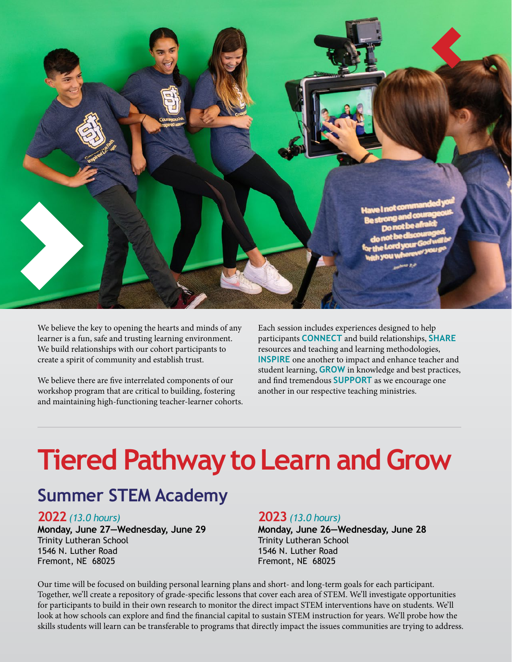

We believe the key to opening the hearts and minds of any learner is a fun, safe and trusting learning environment. We build relationships with our cohort participants to create a spirit of community and establish trust.

We believe there are five interrelated components of our workshop program that are critical to building, fostering and maintaining high-functioning teacher-learner cohorts. Each session includes experiences designed to help participants **CONNECT** and build relationships, **SHARE** resources and teaching and learning methodologies, **INSPIRE** one another to impact and enhance teacher and student learning, **GROW** in knowledge and best practices, and find tremendous **SUPPORT** as we encourage one another in our respective teaching ministries.

## **Tiered Pathway to Learn and Grow**

#### **Summer STEM Academy**

#### **2022** *(13.0 hours)*

**Monday, June 27—Wednesday, June 29** Trinity Lutheran School 1546 N. Luther Road Fremont, NE 68025

#### **2023** *(13.0 hours)*

**Monday, June 26—Wednesday, June 28** Trinity Lutheran School 1546 N. Luther Road Fremont, NE 68025

Our time will be focused on building personal learning plans and short- and long-term goals for each participant. Together, we'll create a repository of grade-specific lessons that cover each area of STEM. We'll investigate opportunities for participants to build in their own research to monitor the direct impact STEM interventions have on students. We'll look at how schools can explore and find the financial capital to sustain STEM instruction for years. We'll probe how the skills students will learn can be transferable to programs that directly impact the issues communities are trying to address.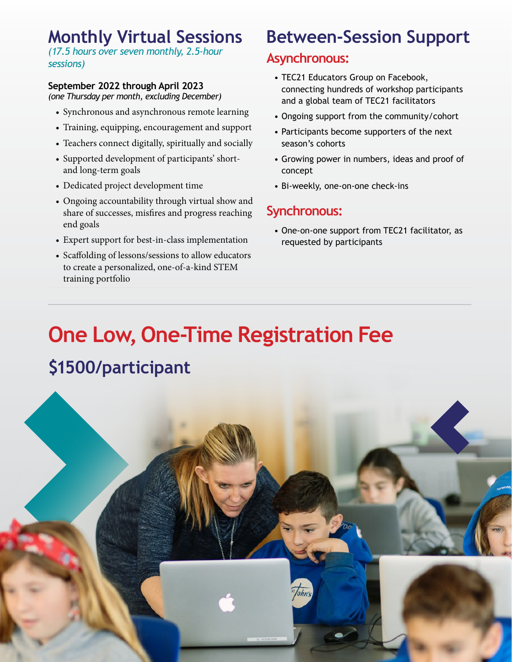#### **Monthly Virtual Sessions**

*(17.5 hours over seven monthly, 2.5-hour sessions)*

#### **September 2022 through April 2023**

*(one Thursday per month, excluding December)*

- Synchronous and asynchronous remote learning
- Training, equipping, encouragement and support
- Teachers connect digitally, spiritually and socially
- Supported development of participants' shortand long-term goals
- Dedicated project development time
- Ongoing accountability through virtual show and share of successes, misfires and progress reaching end goals
- Expert support for best-in-class implementation
- Scaffolding of lessons/sessions to allow educators to create a personalized, one-of-a-kind STEM training portfolio

### **Between-Session Support**

#### **Asynchronous:**

- TEC21 Educators Group on Facebook, connecting hundreds of workshop participants and a global team of TEC21 facilitators
- Ongoing support from the community/cohort
- Participants become supporters of the next season's cohorts
- Growing power in numbers, ideas and proof of concept
- Bi-weekly, one-on-one check-ins

#### **Synchronous:**

• One-on-one support from TEC21 facilitator, as requested by participants

### **One Low, One-Time Registration Fee \$1500/participant**